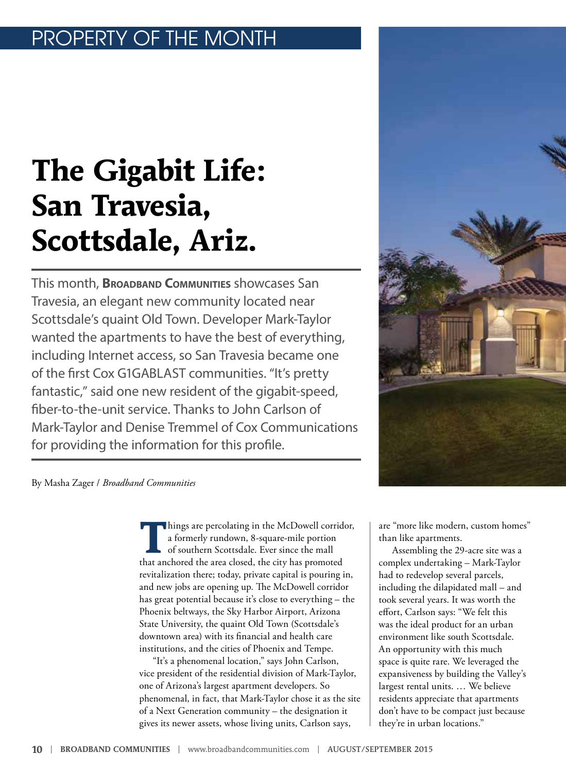## OPERTY OF THE MONTH

# **The Gigabit Life: San Travesia, Scottsdale, Ariz.**

This month, **Broadband Communities** showcases San Travesia, an elegant new community located near Scottsdale's quaint Old Town. Developer Mark-Taylor wanted the apartments to have the best of everything, including Internet access, so San Travesia became one of the first Cox G1GABLAST communities. "It's pretty fantastic," said one new resident of the gigabit-speed, fiber-to-the-unit service. Thanks to John Carlson of Mark-Taylor and Denise Tremmel of Cox Communications for providing the information for this profile.



By Masha Zager / *Broadband Communities*

**T**hings are percolating in the McDowell corridor, a formerly rundown, 8-square-mile portion of southern Scottsdale. Ever since the mall that anchored the area closed, the city has promoted revitalization there; today, private capital is pouring in, and new jobs are opening up. The McDowell corridor has great potential because it's close to everything – the Phoenix beltways, the Sky Harbor Airport, Arizona State University, the quaint Old Town (Scottsdale's downtown area) with its financial and health care institutions, and the cities of Phoenix and Tempe.

"It's a phenomenal location," says John Carlson, vice president of the residential division of Mark-Taylor, one of Arizona's largest apartment developers. So phenomenal, in fact, that Mark-Taylor chose it as the site of a Next Generation community – the designation it gives its newer assets, whose living units, Carlson says,

are "more like modern, custom homes" than like apartments.

Assembling the 29-acre site was a complex undertaking – Mark-Taylor had to redevelop several parcels, including the dilapidated mall – and took several years. It was worth the effort, Carlson says: "We felt this was the ideal product for an urban environment like south Scottsdale. An opportunity with this much space is quite rare. We leveraged the expansiveness by building the Valley's largest rental units. … We believe residents appreciate that apartments don't have to be compact just because they're in urban locations."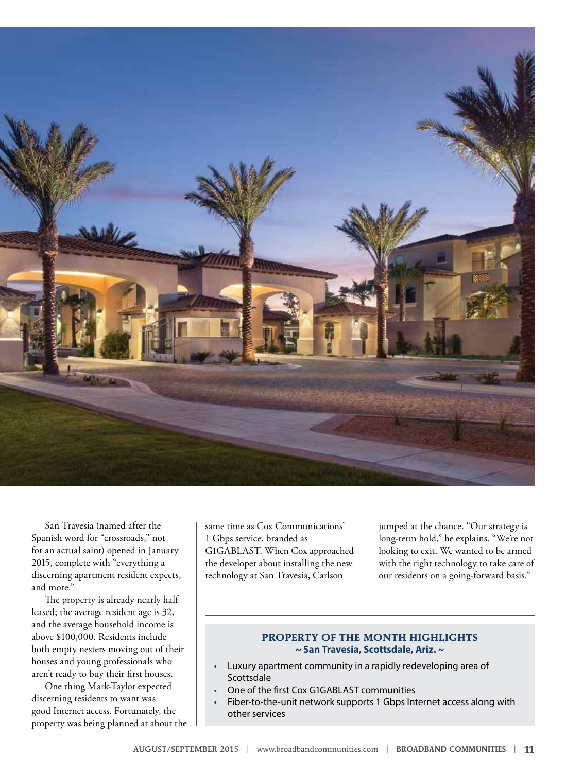

San Travesia (named after the Spanish word for "crossroads," not for an actual saint) opened in January 2015, complete with "everything a discerning apartment resident expects, and more."

The property is already nearly half leased; the average resident age is 32, and the average household income is above \$100,000. Residents include both empty nesters moving out of their houses and young professionals who aren't ready to buy their first houses.

One thing Mark-Taylor expected discerning residents to want was good Internet access. Fortunately, the property was being planned at about the same time as Cox Communications' 1 Gbps service, branded as G1GABLAST. When Cox approached the developer about installing the new technology at San Travesia, Carlson

jumped at the chance. "Our strategy is long-term hold," he explains. "We're not looking to exit. We wanted to be armed with the right technology to take care of our residents on a going-forward basis."

#### **PROPERTY OF THE MONTH HIGHLIGHTS ~ San Travesia, Scottsdale, Ariz. ~**

- Luxury apartment community in a rapidly redeveloping area of **Scottsdale**
- One of the first Cox G1GABLAST communities
- Fiber-to-the-unit network supports 1 Gbps Internet access along with other services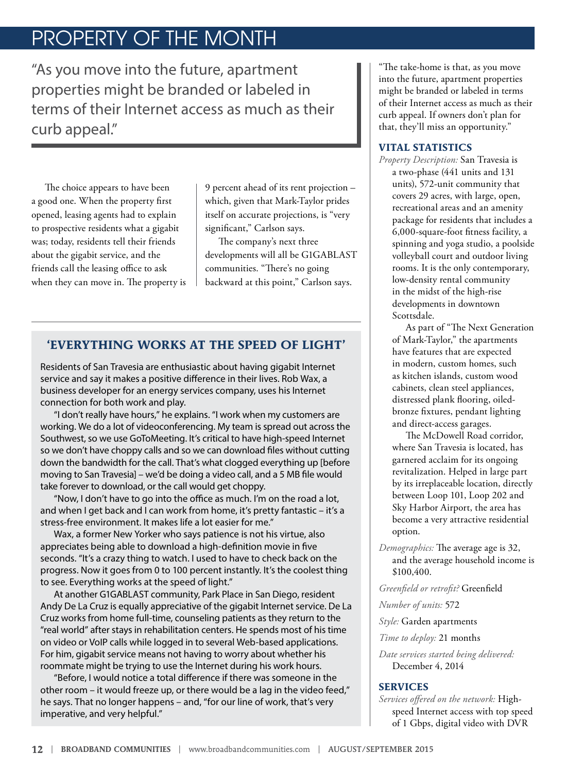## PROPERTY OF THE MONTH

"As you move into the future, apartment properties might be branded or labeled in terms of their Internet access as much as their curb appeal."

The choice appears to have been a good one. When the property first opened, leasing agents had to explain to prospective residents what a gigabit was; today, residents tell their friends about the gigabit service, and the friends call the leasing office to ask when they can move in. The property is

9 percent ahead of its rent projection – which, given that Mark-Taylor prides itself on accurate projections, is "very significant," Carlson says.

The company's next three developments will all be G1GABLAST communities. "There's no going backward at this point," Carlson says.

### **'EVERYTHING WORKS AT THE SPEED OF LIGHT'**

Residents of San Travesia are enthusiastic about having gigabit Internet service and say it makes a positive difference in their lives. Rob Wax, a business developer for an energy services company, uses his Internet connection for both work and play.

"I don't really have hours," he explains. "I work when my customers are working. We do a lot of videoconferencing. My team is spread out across the Southwest, so we use GoToMeeting. It's critical to have high-speed Internet so we don't have choppy calls and so we can download files without cutting down the bandwidth for the call. That's what clogged everything up [before moving to San Travesia] – we'd be doing a video call, and a 5 MB file would take forever to download, or the call would get choppy.

"Now, I don't have to go into the office as much. I'm on the road a lot, and when I get back and I can work from home, it's pretty fantastic – it's a stress-free environment. It makes life a lot easier for me."

Wax, a former New Yorker who says patience is not his virtue, also appreciates being able to download a high-definition movie in five seconds. "It's a crazy thing to watch. I used to have to check back on the progress. Now it goes from 0 to 100 percent instantly. It's the coolest thing to see. Everything works at the speed of light."

At another G1GABLAST community, Park Place in San Diego, resident Andy De La Cruz is equally appreciative of the gigabit Internet service. De La Cruz works from home full-time, counseling patients as they return to the "real world" after stays in rehabilitation centers. He spends most of his time on video or VoIP calls while logged in to several Web-based applications. For him, gigabit service means not having to worry about whether his roommate might be trying to use the Internet during his work hours.

"Before, I would notice a total difference if there was someone in the other room – it would freeze up, or there would be a lag in the video feed," he says. That no longer happens – and, "for our line of work, that's very imperative, and very helpful."

"The take-home is that, as you move into the future, apartment properties might be branded or labeled in terms of their Internet access as much as their curb appeal. If owners don't plan for that, they'll miss an opportunity."

#### **VITAL STATISTICS**

*Property Description:* San Travesia is a two-phase (441 units and 131 units), 572-unit community that covers 29 acres, with large, open, recreational areas and an amenity package for residents that includes a 6,000-square-foot fitness facility, a spinning and yoga studio, a poolside volleyball court and outdoor living rooms. It is the only contemporary, low-density rental community in the midst of the high-rise developments in downtown Scottsdale.

As part of "[The Next Generation](http://blog.mark-taylor.com/2012/10/04/san-marquis-celebrates-grand-opening-in-style/)  [of Mark-Taylor](http://blog.mark-taylor.com/2012/10/04/san-marquis-celebrates-grand-opening-in-style/)," the apartments have features that are expected in modern, custom homes, such as kitchen islands, custom wood cabinets, clean steel appliances, distressed plank flooring, oiledbronze fixtures, pendant lighting and direct-access garages.

The McDowell Road corridor, where San Travesia is located, has garnered acclaim for its ongoing revitalization. Helped in large part by its irreplaceable location, directly between Loop 101, Loop 202 and Sky Harbor Airport, the area has become a very attractive residential option.

*Demographics:* The average age is 32, and the average household income is \$100,400.

*Greenfield or retrofit?* Greenfield

*Number of units:* 572

*Style:* Garden apartments

*Time to deploy:* 21 months

*Date services started being delivered:* December 4, 2014

#### **SERVICES**

*Services offered on the network:* Highspeed Internet access with top speed of 1 Gbps, digital video with DVR